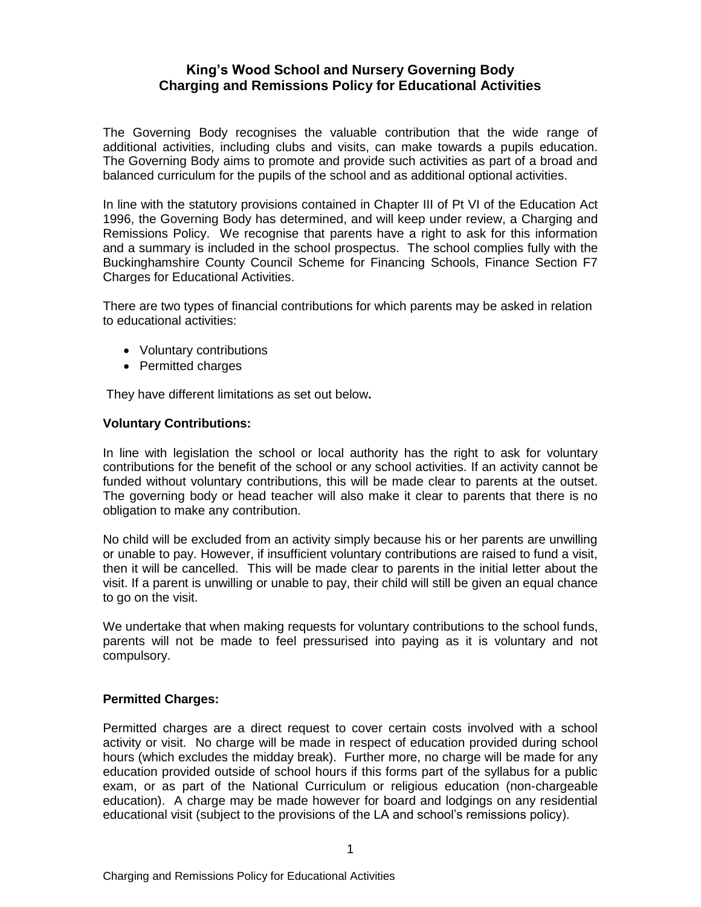# **King's Wood School and Nursery Governing Body Charging and Remissions Policy for Educational Activities**

The Governing Body recognises the valuable contribution that the wide range of additional activities, including clubs and visits, can make towards a pupils education. The Governing Body aims to promote and provide such activities as part of a broad and balanced curriculum for the pupils of the school and as additional optional activities.

In line with the statutory provisions contained in Chapter III of Pt VI of the Education Act 1996, the Governing Body has determined, and will keep under review, a Charging and Remissions Policy. We recognise that parents have a right to ask for this information and a summary is included in the school prospectus. The school complies fully with the Buckinghamshire County Council Scheme for Financing Schools, Finance Section F7 Charges for Educational Activities.

There are two types of financial contributions for which parents may be asked in relation to educational activities:

- Voluntary contributions
- Permitted charges

They have different limitations as set out below**.** 

#### **Voluntary Contributions:**

In line with legislation the school or local authority has the right to ask for voluntary contributions for the benefit of the school or any school activities. If an activity cannot be funded without voluntary contributions, this will be made clear to parents at the outset. The governing body or head teacher will also make it clear to parents that there is no obligation to make any contribution.

No child will be excluded from an activity simply because his or her parents are unwilling or unable to pay. However, if insufficient voluntary contributions are raised to fund a visit, then it will be cancelled. This will be made clear to parents in the initial letter about the visit. If a parent is unwilling or unable to pay, their child will still be given an equal chance to go on the visit.

We undertake that when making requests for voluntary contributions to the school funds, parents will not be made to feel pressurised into paying as it is voluntary and not compulsory.

## **Permitted Charges:**

Permitted charges are a direct request to cover certain costs involved with a school activity or visit. No charge will be made in respect of education provided during school hours (which excludes the midday break). Further more, no charge will be made for any education provided outside of school hours if this forms part of the syllabus for a public exam, or as part of the National Curriculum or religious education (non-chargeable education). A charge may be made however for board and lodgings on any residential educational visit (subject to the provisions of the LA and school's remissions policy).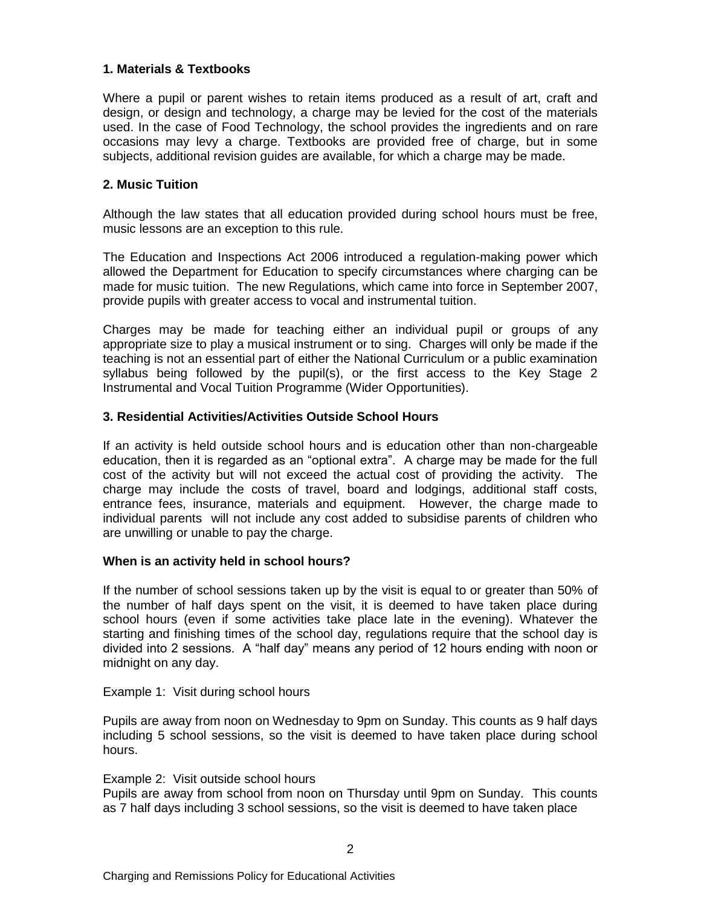## **1. Materials & Textbooks**

Where a pupil or parent wishes to retain items produced as a result of art, craft and design, or design and technology, a charge may be levied for the cost of the materials used. In the case of Food Technology, the school provides the ingredients and on rare occasions may levy a charge. Textbooks are provided free of charge, but in some subjects, additional revision guides are available, for which a charge may be made.

# **2. Music Tuition**

Although the law states that all education provided during school hours must be free, music lessons are an exception to this rule.

The Education and Inspections Act 2006 introduced a regulation-making power which allowed the Department for Education to specify circumstances where charging can be made for music tuition. The new Regulations, which came into force in September 2007, provide pupils with greater access to vocal and instrumental tuition.

Charges may be made for teaching either an individual pupil or groups of any appropriate size to play a musical instrument or to sing. Charges will only be made if the teaching is not an essential part of either the National Curriculum or a public examination syllabus being followed by the pupil(s), or the first access to the Key Stage 2 Instrumental and Vocal Tuition Programme (Wider Opportunities).

## **3. Residential Activities/Activities Outside School Hours**

If an activity is held outside school hours and is education other than non-chargeable education, then it is regarded as an "optional extra". A charge may be made for the full cost of the activity but will not exceed the actual cost of providing the activity. The charge may include the costs of travel, board and lodgings, additional staff costs, entrance fees, insurance, materials and equipment. However, the charge made to individual parents will not include any cost added to subsidise parents of children who are unwilling or unable to pay the charge.

## **When is an activity held in school hours?**

If the number of school sessions taken up by the visit is equal to or greater than 50% of the number of half days spent on the visit, it is deemed to have taken place during school hours (even if some activities take place late in the evening). Whatever the starting and finishing times of the school day, regulations require that the school day is divided into 2 sessions. A "half day" means any period of 12 hours ending with noon or midnight on any day.

## Example 1: Visit during school hours

Pupils are away from noon on Wednesday to 9pm on Sunday. This counts as 9 half days including 5 school sessions, so the visit is deemed to have taken place during school hours.

## Example 2: Visit outside school hours

Pupils are away from school from noon on Thursday until 9pm on Sunday. This counts as 7 half days including 3 school sessions, so the visit is deemed to have taken place